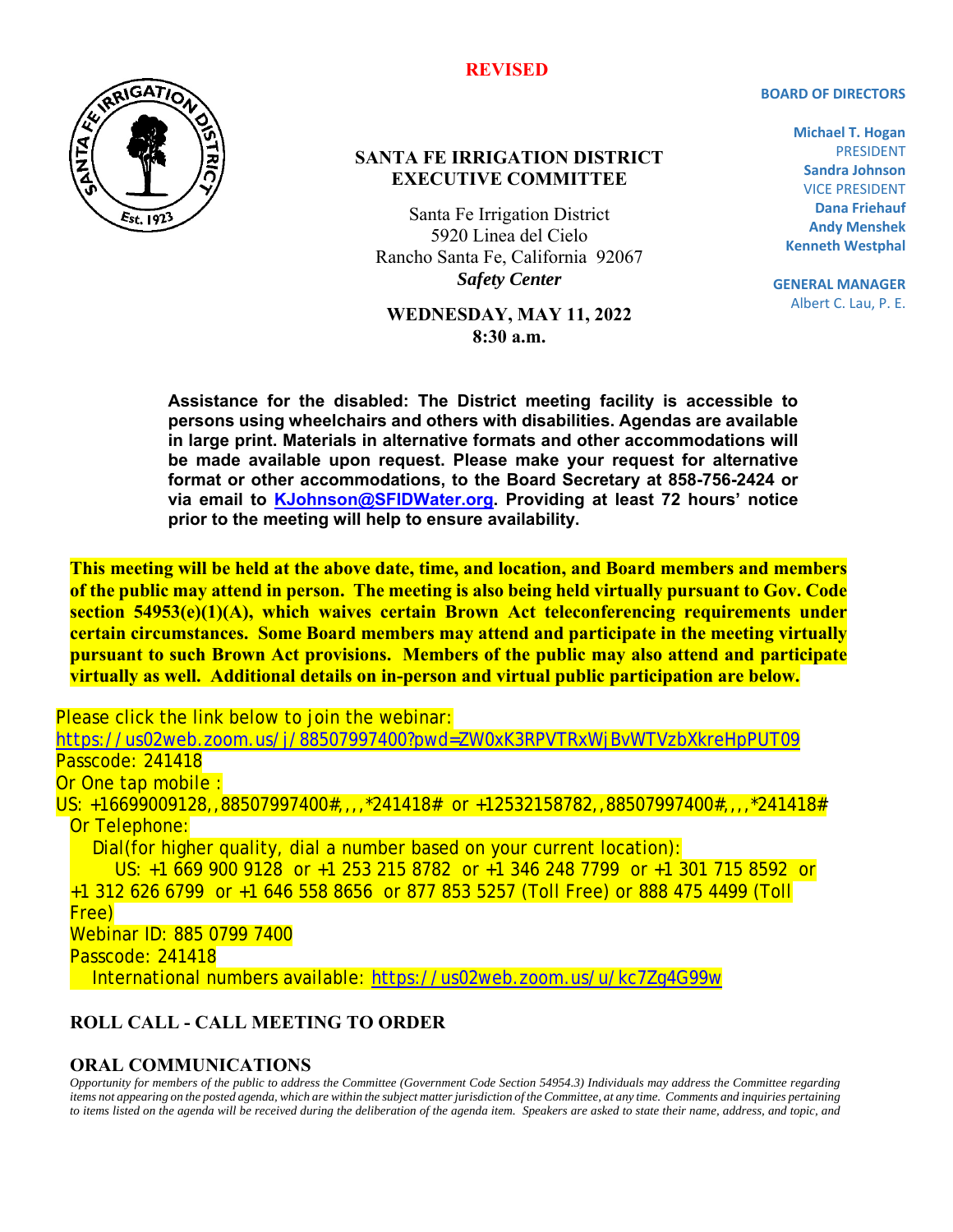# **BOARD OF DIRECTORS**



### **SANTA FE IRRIGATION DISTRICT EXECUTIVE COMMITTEE**

Santa Fe Irrigation District 5920 Linea del Cielo Rancho Santa Fe, California 92067 *Safety Center* 

#### **WEDNESDAY, MAY 11, 2022 8:30 a.m.**

**Michael T. Hogan**  PRESIDENT **Sandra Johnson**  VICE PRESIDENT **Dana Friehauf Andy Menshek Kenneth Westphal** 

**GENERAL MANAGER**  Albert C. Lau, P. E.

**Assistance for the disabled: The District meeting facility is accessible to persons using wheelchairs and others with disabilities. Agendas are available in large print. Materials in alternative formats and other accommodations will be made available upon request. Please make your request for alternative format or other accommodations, to the Board Secretary at 858-756-2424 or via email to KJohnson@SFIDWater.org. Providing at least 72 hours' notice prior to the meeting will help to ensure availability.** 

**This meeting will be held at the above date, time, and location, and Board members and members of the public may attend in person. The meeting is also being held virtually pursuant to Gov. Code section 54953(e)(1)(A), which waives certain Brown Act teleconferencing requirements under certain circumstances. Some Board members may attend and participate in the meeting virtually pursuant to such Brown Act provisions. Members of the public may also attend and participate virtually as well. Additional details on in-person and virtual public participation are below.** 

Please click the link below to join the webinar:

https://us02web.zoom.us/j/88507997400?pwd=ZW0xK3RPVTRxWjBvWTVzbXkreHpPUT09 Passcode: 241418

Or One tap mobile :

US: +16699009128,,88507997400#,,,,\*241418# or +12532158782,,88507997400#,,,,\*241418# Or Telephone:

 Dial(for higher quality, dial a number based on your current location): US: +1 669 900 9128 or +1 253 215 8782 or +1 346 248 7799 or +1 301 715 8592 or +1 312 626 6799 or +1 646 558 8656 or 877 853 5257 (Toll Free) or 888 475 4499 (Toll Free) Webinar ID: 885 0799 7400

Passcode: 241418

International numbers available: https://us02web.zoom.us/u/kc7Zg4G99w

## **ROLL CALL - CALL MEETING TO ORDER**

#### **ORAL COMMUNICATIONS**

*Opportunity for members of the public to address the Committee (Government Code Section 54954.3) Individuals may address the Committee regarding items not appearing on the posted agenda, which are within the subject matter jurisdiction of the Committee, at any time. Comments and inquiries pertaining to items listed on the agenda will be received during the deliberation of the agenda item. Speakers are asked to state their name, address, and topic, and* 

#### **REVISED**